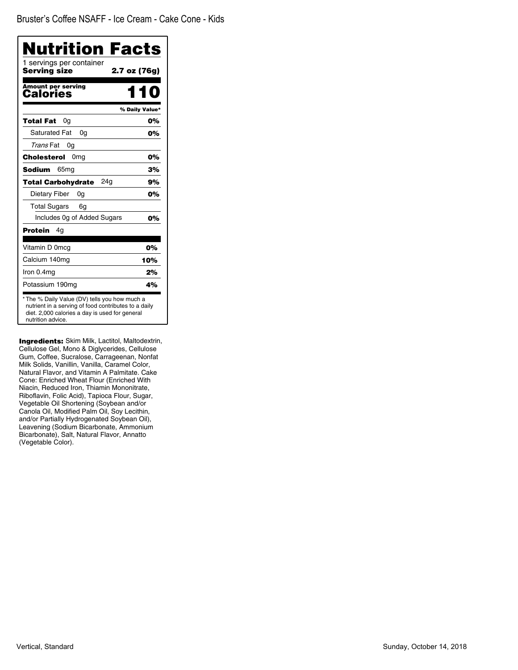| Nutrition Facts<br>1 servings per container                                                                                                                                  |                |
|------------------------------------------------------------------------------------------------------------------------------------------------------------------------------|----------------|
| Serving size                                                                                                                                                                 | 2.7 oz (76g)   |
| <b>Amount per serving</b><br>Calories                                                                                                                                        |                |
|                                                                                                                                                                              | % Daily Value* |
| 0g<br>Total Fat                                                                                                                                                              | 0%             |
| <b>Saturated Fat</b><br>0q                                                                                                                                                   | 0%             |
| Trans Fat<br>0g                                                                                                                                                              |                |
| Cholesterol<br>0 <sub>mg</sub>                                                                                                                                               | 0%             |
| Sodium<br>65 <sub>mg</sub>                                                                                                                                                   | 3%             |
| 24a<br><b>Total Carbohydrate</b>                                                                                                                                             | 9%             |
| Dietary Fiber<br>0g                                                                                                                                                          | 0%             |
| <b>Total Sugars</b><br>6g                                                                                                                                                    |                |
| Includes Og of Added Sugars                                                                                                                                                  | 0%             |
| Protein<br>4g                                                                                                                                                                |                |
| Vitamin D 0mcg                                                                                                                                                               | 0%             |
| Calcium 140mg                                                                                                                                                                | 10%            |
| Iron 0.4mg                                                                                                                                                                   | 2%             |
| Potassium 190mg                                                                                                                                                              | 4%             |
| * The % Daily Value (DV) tells you how much a<br>nutrient in a serving of food contributes to a daily<br>diet. 2,000 calories a day is used for general<br>nutrition advice. |                |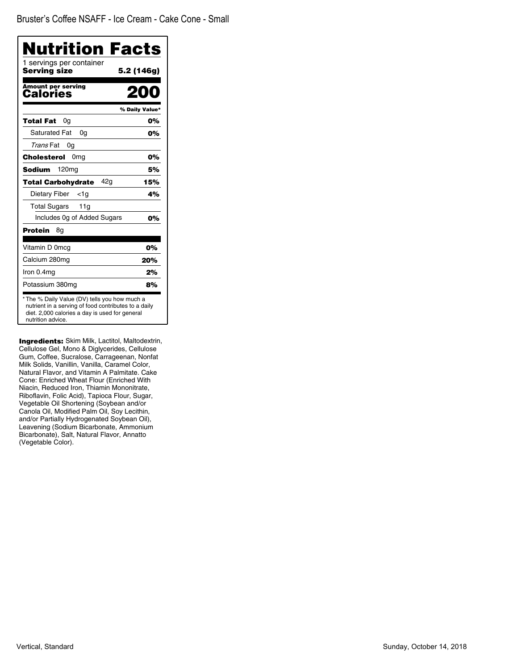| Nutrition Facts                                                                                                                                                              |                |
|------------------------------------------------------------------------------------------------------------------------------------------------------------------------------|----------------|
| 1 servings per container<br>Servina size                                                                                                                                     | 5.2 (146g)     |
| <b>Amount per serving</b><br>Calories                                                                                                                                        | 200            |
|                                                                                                                                                                              | % Daily Value* |
| Total Fat<br>0g                                                                                                                                                              | 0%             |
| <b>Saturated Fat</b><br>0q                                                                                                                                                   | 0%             |
| Trans Fat<br>0g                                                                                                                                                              |                |
| 0 <sub>mg</sub><br>Cholesterol                                                                                                                                               | 0%             |
| <b>Sodium</b><br>120 <sub>mg</sub>                                                                                                                                           | 5%             |
| 42a<br><b>Total Carbohydrate</b>                                                                                                                                             | 15%            |
| Dietary Fiber<br><1a                                                                                                                                                         | 4%             |
| <b>Total Sugars</b><br>11g                                                                                                                                                   |                |
| Includes 0g of Added Sugars                                                                                                                                                  | 0%             |
| <b>Protein</b><br>8g                                                                                                                                                         |                |
| Vitamin D 0mcg                                                                                                                                                               | 0%             |
| Calcium 280mg                                                                                                                                                                | 20%            |
| Iron 0.4mg                                                                                                                                                                   | 2%             |
| Potassium 380mg                                                                                                                                                              | 8%             |
| * The % Daily Value (DV) tells you how much a<br>nutrient in a serving of food contributes to a daily<br>diet. 2,000 calories a day is used for general<br>nutrition advice. |                |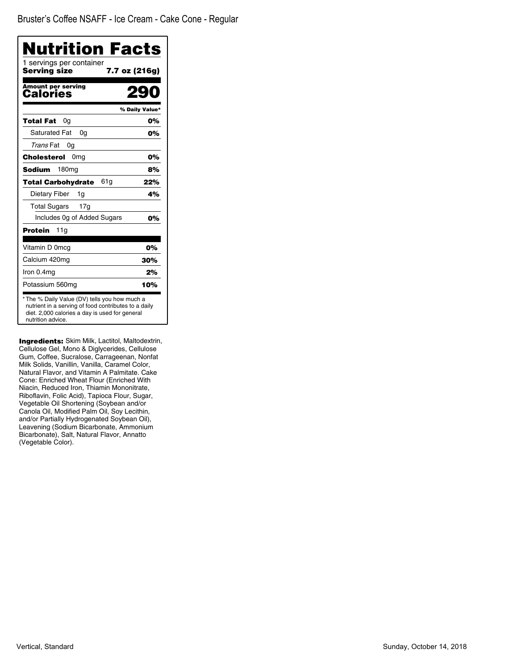Bruster's Coffee NSAFF - Ice Cream - Cake Cone - Regular

| <b>Nutrition Facts</b>                                                                                                                                                       |                |
|------------------------------------------------------------------------------------------------------------------------------------------------------------------------------|----------------|
| 1 servings per container<br>Serving size<br>7.7 oz (216g)                                                                                                                    |                |
| <b>Amount per serving</b><br>Calories                                                                                                                                        |                |
|                                                                                                                                                                              | % Daily Value* |
| Total Fat<br>0a                                                                                                                                                              | 0%             |
| <b>Saturated Fat</b><br>0a                                                                                                                                                   | 0%             |
| Trans Fat<br>0g                                                                                                                                                              |                |
| <b>Cholesterol</b><br>0 <sub>mg</sub>                                                                                                                                        | 0%             |
| <b>Sodium</b><br>180 <sub>mg</sub>                                                                                                                                           | 8%             |
| 61 g<br><b>Total Carbohydrate</b>                                                                                                                                            | 22%            |
| Dietary Fiber<br>1g                                                                                                                                                          | 4%             |
| <b>Total Sugars</b><br>17 <sub>g</sub>                                                                                                                                       |                |
| Includes Og of Added Sugars                                                                                                                                                  | 0%             |
| <b>Protein</b><br>11g                                                                                                                                                        |                |
| Vitamin D 0mcg                                                                                                                                                               | 0%             |
| Calcium 420mg                                                                                                                                                                | 30%            |
| Iron 0.4mg                                                                                                                                                                   | 2%             |
| Potassium 560mg                                                                                                                                                              | 10%            |
| * The % Daily Value (DV) tells you how much a<br>nutrient in a serving of food contributes to a daily<br>diet. 2,000 calories a day is used for general<br>nutrition advice. |                |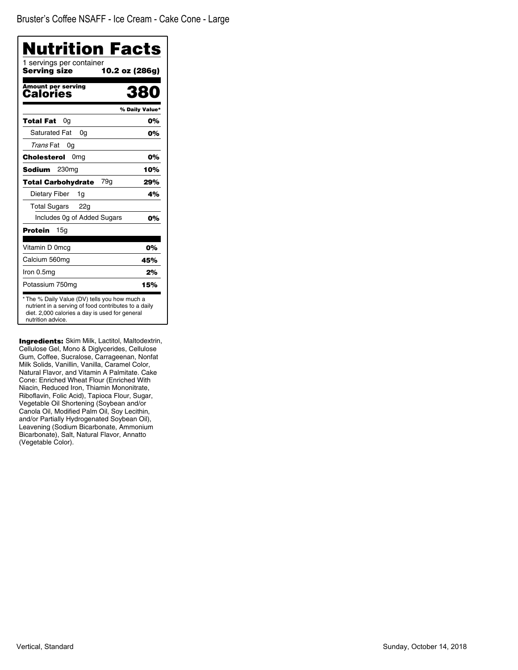| <b>Nutrition Facts</b><br>1 servings per container                                                                                                                           |                |
|------------------------------------------------------------------------------------------------------------------------------------------------------------------------------|----------------|
| <b>Serving size</b><br>10.2 oz (286g)                                                                                                                                        |                |
| Amount per serving<br>Calories                                                                                                                                               | 380            |
|                                                                                                                                                                              | % Daily Value* |
| 0g<br>Total Fat                                                                                                                                                              | 0%             |
| <b>Saturated Fat</b><br>0g                                                                                                                                                   | 0%             |
| Trans Fat<br>0g                                                                                                                                                              |                |
| 0 <sub>mg</sub><br><b>Cholesterol</b>                                                                                                                                        | 0%             |
| 230 <sub>mg</sub><br>Sodium                                                                                                                                                  | 10%            |
| 79g<br><b>Total Carbohydrate</b>                                                                                                                                             | 29%            |
| Dietary Fiber<br>1g                                                                                                                                                          | 4%             |
| <b>Total Sugars</b><br>22g                                                                                                                                                   |                |
| Includes Og of Added Sugars                                                                                                                                                  | 0%             |
| Protein<br>15g                                                                                                                                                               |                |
| Vitamin D 0mcg                                                                                                                                                               | 0%             |
| Calcium 560mg                                                                                                                                                                | 45%            |
| Iron 0.5mg                                                                                                                                                                   | 2%             |
| Potassium 750mg                                                                                                                                                              | 15%            |
| * The % Daily Value (DV) tells you how much a<br>nutrient in a serving of food contributes to a daily<br>diet. 2,000 calories a day is used for general<br>nutrition advice. |                |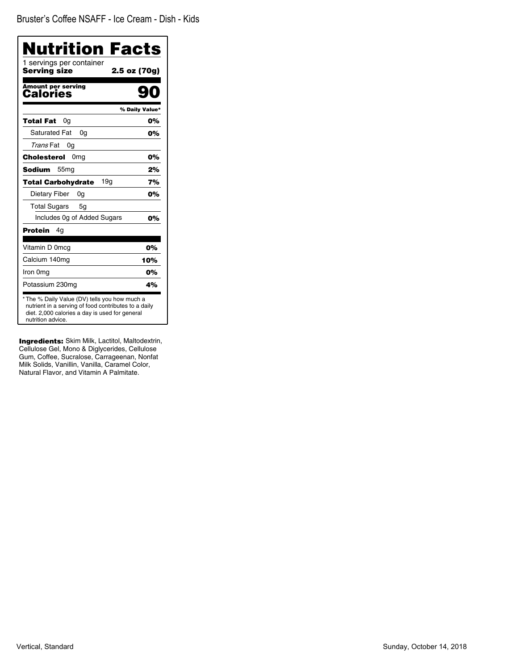| Nutrition Facts<br>1 servings per container |                |
|---------------------------------------------|----------------|
| <b>Serving size</b>                         | 2.5 oz (70g)   |
| <b>Amount per serving</b><br>Calories       |                |
|                                             | % Daily Value* |
| <b>Total Fat</b><br>0g                      | 0%             |
| <b>Saturated Fat</b><br>0a                  | 0%             |
| Trans Fat<br>0a                             |                |
| Cholesterol<br>0 <sub>mg</sub>              | 0%             |
| Sodium<br>55 <sub>mq</sub>                  | 2%             |
| 19q<br><b>Total Carbohydrate</b>            | 7%             |
| Dietary Fiber<br>0g                         | 0%             |
| <b>Total Sugars</b><br>5g                   |                |
| Includes Og of Added Sugars                 | 0%             |
| <b>Protein</b><br>4g                        |                |
| Vitamin D 0mcg                              | 0%             |
| Calcium 140mg                               | 10%            |
| Iron 0mg                                    | 0%             |
| Potassium 230mg                             | 4%             |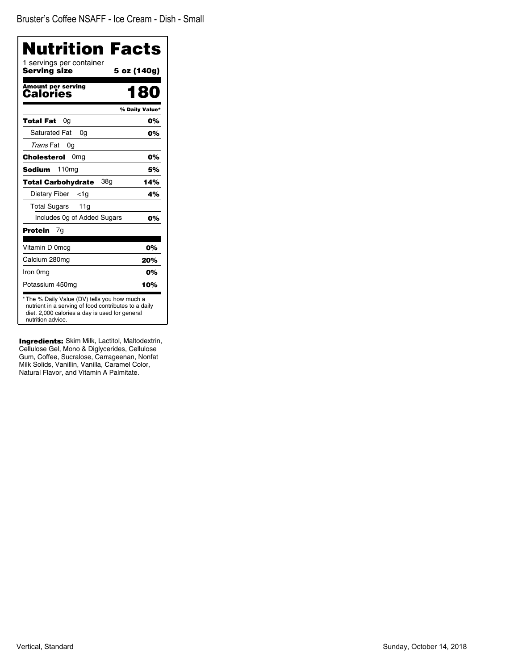| Nutrition Facts                                                                                                                                                              |                |
|------------------------------------------------------------------------------------------------------------------------------------------------------------------------------|----------------|
| 1 servings per container<br><b>Serving size</b>                                                                                                                              | 5 oz (140g)    |
| Amount per serving<br>Calories                                                                                                                                               | 180            |
|                                                                                                                                                                              | % Daily Value* |
| Total Fat<br>0g                                                                                                                                                              | 0%             |
| <b>Saturated Fat</b><br>0a                                                                                                                                                   | 0%             |
| Trans Fat<br>0g                                                                                                                                                              |                |
| Cholesterol<br>0 <sub>mg</sub>                                                                                                                                               | 0%             |
| 110mg<br>Sodium                                                                                                                                                              | 5%             |
| 38g<br>Total Carbohydrate                                                                                                                                                    | 14%            |
| Dietary Fiber<br><1a                                                                                                                                                         | 4%             |
| <b>Total Sugars</b><br>11g                                                                                                                                                   |                |
| Includes Og of Added Sugars                                                                                                                                                  | 0%             |
| Protein<br>7g                                                                                                                                                                |                |
| Vitamin D 0mcg                                                                                                                                                               | 0%             |
| Calcium 280mg                                                                                                                                                                | 20%            |
| Iron 0mg                                                                                                                                                                     | 0%             |
| Potassium 450mg                                                                                                                                                              | 10%            |
| * The % Daily Value (DV) tells you how much a<br>nutrient in a serving of food contributes to a daily<br>diet. 2,000 calories a day is used for general<br>nutrition advice. |                |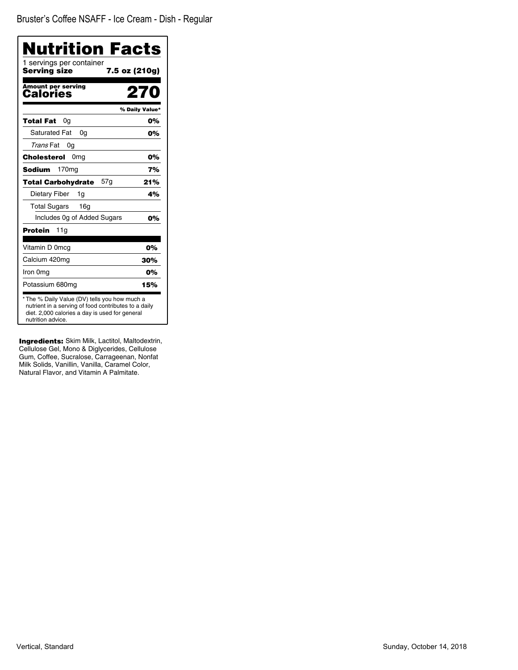| <b>Nutrition Facts</b><br>1 servings per container                                                                                                                           |                |
|------------------------------------------------------------------------------------------------------------------------------------------------------------------------------|----------------|
| Serving size                                                                                                                                                                 | 7.5 oz (210g)  |
| <b>Amount per serving</b><br>Calories                                                                                                                                        | 270            |
|                                                                                                                                                                              | % Daily Value* |
| Total Fat<br>0g                                                                                                                                                              | 0%             |
| <b>Saturated Fat</b><br>0a                                                                                                                                                   | 0%             |
| Trans Fat<br>0g                                                                                                                                                              |                |
| Cholesterol<br>0 <sub>mg</sub>                                                                                                                                               | 0%             |
| Sodium<br>170mg                                                                                                                                                              | 7%             |
| 57g<br><b>Total Carbohydrate</b>                                                                                                                                             | 21%            |
| Dietary Fiber<br>1g                                                                                                                                                          | 4%             |
| <b>Total Sugars</b><br>16 <sub>g</sub>                                                                                                                                       |                |
| Includes Og of Added Sugars                                                                                                                                                  | 0%             |
| Protein<br>11a                                                                                                                                                               |                |
| Vitamin D 0mcg                                                                                                                                                               | 0%             |
| Calcium 420mg                                                                                                                                                                | 30%            |
| Iron 0mg                                                                                                                                                                     | 0%             |
| Potassium 680mg                                                                                                                                                              | 15%            |
| * The % Daily Value (DV) tells you how much a<br>nutrient in a serving of food contributes to a daily<br>diet. 2,000 calories a day is used for general<br>nutrition advice. |                |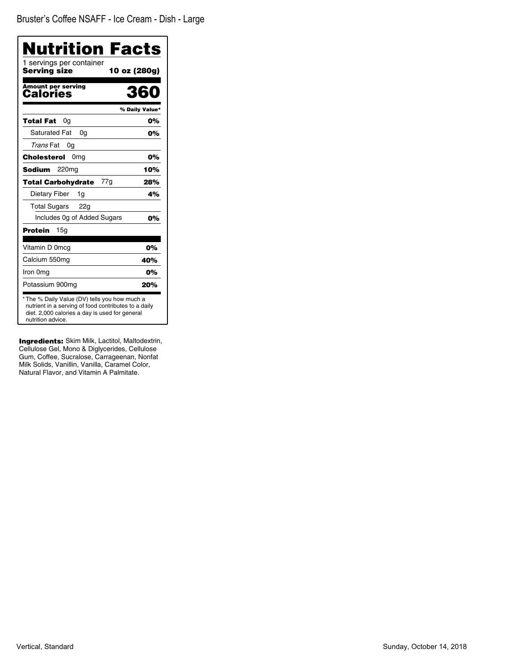| Nutrition Facts                                                                                                                                                              |                |
|------------------------------------------------------------------------------------------------------------------------------------------------------------------------------|----------------|
| 1 servings per container<br>Serving size                                                                                                                                     | 10 oz (280g)   |
| <b>Amount per serving</b><br>Calories                                                                                                                                        | 360            |
|                                                                                                                                                                              | % Daily Value* |
| Total Fat<br>0g                                                                                                                                                              | 0%             |
| <b>Saturated Fat</b><br>0a                                                                                                                                                   | 0%             |
| Trans Fat<br>0g                                                                                                                                                              |                |
| Cholesterol<br>0 <sub>mg</sub>                                                                                                                                               | 0%             |
| 220 <sub>mg</sub><br>Sodium                                                                                                                                                  | 10%            |
| <b>Total Carbohydrate</b><br>77g                                                                                                                                             | 28%            |
| Dietary Fiber<br>1g                                                                                                                                                          | 4%             |
| <b>Total Sugars</b><br>22g                                                                                                                                                   |                |
| Includes Og of Added Sugars                                                                                                                                                  | 0%             |
| Protein<br>15a                                                                                                                                                               |                |
| Vitamin D 0mcg                                                                                                                                                               | 0%             |
| Calcium 550mg                                                                                                                                                                | 40%            |
| Iron 0mg                                                                                                                                                                     | 0%             |
| Potassium 900mg                                                                                                                                                              | 20%            |
| * The % Daily Value (DV) tells you how much a<br>nutrient in a serving of food contributes to a daily<br>diet. 2,000 calories a day is used for general<br>nutrition advice. |                |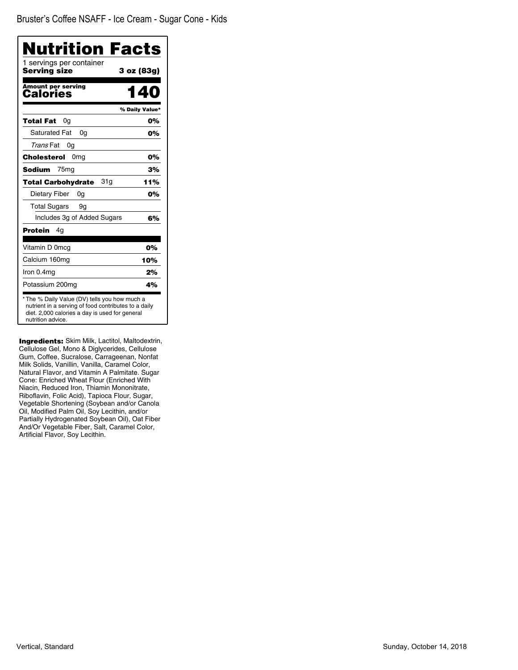| Nutrition Facts                                 |                |
|-------------------------------------------------|----------------|
| 1 servings per container<br><b>Serving size</b> | 3 oz (83g)     |
| Amount per serving<br>Calories                  | <b>40</b>      |
|                                                 | % Daily Value* |
| <b>Total Fat</b><br>0a                          | 0%             |
| <b>Saturated Fat</b><br>0a                      | 0%             |
| Trans Fat<br>0g                                 |                |
| Cholesterol<br>0 <sub>mg</sub>                  | 0%             |
| <b>Sodium</b><br>75 <sub>mg</sub>               | 3%             |
| 31g<br><b>Total Carbohydrate</b>                | 11%            |
| Dietary Fiber<br>0a                             | 0%             |
| <b>Total Sugars</b><br>9g                       |                |
| Includes 3g of Added Sugars                     | 6%             |
| Protein<br>4g                                   |                |
| Vitamin D 0mcg                                  | 0%             |
| Calcium 160mg                                   | 10%            |
| Iron 0.4mg                                      | 2%             |
| Potassium 200mg                                 | 4%             |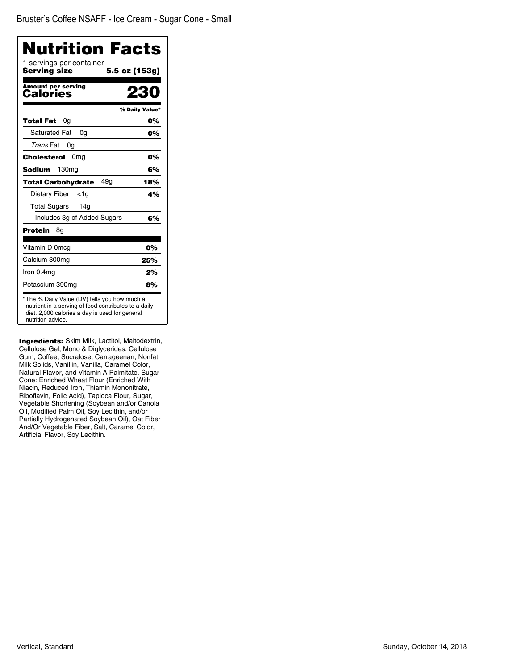| Nutrition Facts                          |                |
|------------------------------------------|----------------|
| 1 servings per container<br>Serving size | 5.5 oz (153g)  |
| <b>Amount per serving</b><br>Calories    |                |
|                                          | % Daily Value* |
| Total Fat<br>0g                          | 0%             |
| <b>Saturated Fat</b><br>0a               | 0%             |
| Trans Fat<br>0g                          |                |
| Cholesterol<br>0 <sub>mg</sub>           | 0%             |
| <b>Sodium</b><br>130 <sub>mg</sub>       | 6%             |
| 49a<br><b>Total Carbohydrate</b>         | 18%            |
| Dietary Fiber<br><1a                     | 4%             |
| <b>Total Sugars</b><br>14g               |                |
| Includes 3g of Added Sugars              | 6%             |
| Protein<br>8g                            |                |
| Vitamin D 0mcg                           | 0%             |
| Calcium 300mg                            | 25%            |
| Iron 0.4mg                               | 2%             |
| Potassium 390mg                          | 8%             |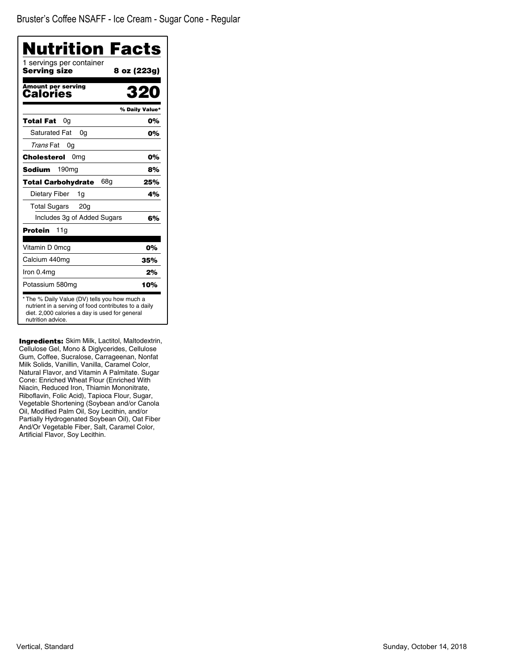Bruster's Coffee NSAFF - Ice Cream - Sugar Cone - Regular

| <b>Nutrition Facts</b>                                                                                                                                                       |                |
|------------------------------------------------------------------------------------------------------------------------------------------------------------------------------|----------------|
| 1 servings per container<br>Serving size                                                                                                                                     | 8 oz (223g)    |
| Amount per serving<br>Calories                                                                                                                                               | 320            |
|                                                                                                                                                                              | % Daily Value* |
| Total Fat<br>0a                                                                                                                                                              | 0%             |
| <b>Saturated Fat</b><br>0q                                                                                                                                                   | 0%             |
| Trans Fat<br>0g                                                                                                                                                              |                |
| Cholesterol<br>0mg                                                                                                                                                           | 0%             |
| 190 <sub>mq</sub><br>Sodium                                                                                                                                                  | 8%             |
| Total Carbohydrate<br>68a                                                                                                                                                    | 25%            |
| Dietary Fiber<br>1g                                                                                                                                                          | 4%             |
| Total Sugars<br>20 <sub>q</sub>                                                                                                                                              |                |
| Includes 3g of Added Sugars                                                                                                                                                  | 6%             |
| <b>Protein</b><br>11g                                                                                                                                                        |                |
| Vitamin D 0mcg                                                                                                                                                               | 0%             |
| Calcium 440mg                                                                                                                                                                | 35%            |
| Iron 0.4mg                                                                                                                                                                   | 2%             |
| Potassium 580mg                                                                                                                                                              | 10%            |
| * The % Daily Value (DV) tells you how much a<br>nutrient in a serving of food contributes to a daily<br>diet. 2,000 calories a day is used for general<br>nutrition advice. |                |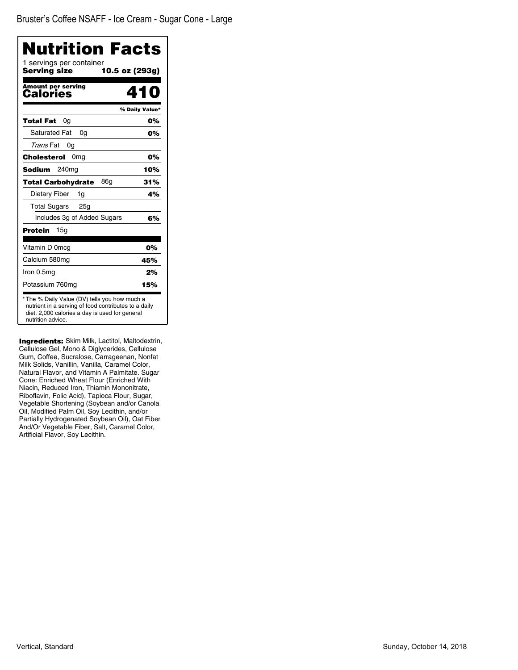Bruster's Coffee NSAFF - Ice Cream - Sugar Cone - Large

| Nutrition Facts                                                                                                                                                              |                |
|------------------------------------------------------------------------------------------------------------------------------------------------------------------------------|----------------|
| 1 servings per container<br>Serving size<br>10.5 oz (293g)                                                                                                                   |                |
| Amount per serving<br>Calories                                                                                                                                               | 410            |
|                                                                                                                                                                              | % Daily Value* |
| Total Fat<br>0a                                                                                                                                                              | 0%             |
| <b>Saturated Fat</b><br>0a                                                                                                                                                   | 0%             |
| Trans Fat<br>0g                                                                                                                                                              |                |
| 0 <sub>mg</sub><br>Cholesterol                                                                                                                                               | 0%             |
| 240 <sub>mg</sub><br>Sodium                                                                                                                                                  | 10%            |
| 86a<br>Total Carbohydrate                                                                                                                                                    | 31%            |
| Dietary Fiber<br>1g                                                                                                                                                          | 4%             |
| Total Sugars 25g                                                                                                                                                             |                |
| Includes 3g of Added Sugars                                                                                                                                                  | 6%             |
| 15a<br>Protein                                                                                                                                                               |                |
| Vitamin D 0mcg                                                                                                                                                               | 0%             |
| Calcium 580mg                                                                                                                                                                | 45%            |
| Iron 0.5mg                                                                                                                                                                   | 2%             |
| Potassium 760mg                                                                                                                                                              | 15%            |
| * The % Daily Value (DV) tells you how much a<br>nutrient in a serving of food contributes to a daily<br>diet. 2,000 calories a day is used for general<br>nutrition advice. |                |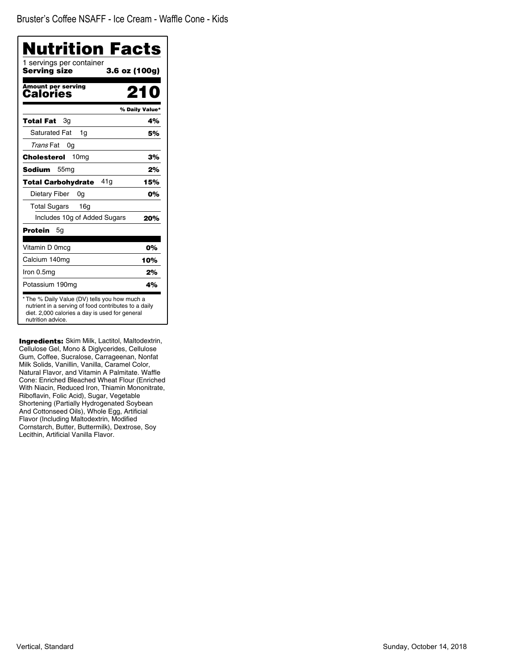| Nutrition Facts                          |                |
|------------------------------------------|----------------|
| 1 servings per container<br>Servina size | 3.6 oz (100g)  |
| <b>Amount per serving</b><br>Calories    | 210            |
|                                          | % Daily Value* |
| Total Fat<br>Зg                          | 4%             |
| <b>Saturated Fat</b><br>1q               | 5%             |
| Trans Fat<br>0g                          |                |
| 10 <sub>mg</sub><br>Cholesterol          | 3%             |
| Sodium<br>55 <sub>mq</sub>               | 2%             |
| 41a<br><b>Total Carbohydrate</b>         | 15%            |
| Dietary Fiber<br>0a                      | 0%             |
| <b>Total Sugars</b><br>16g               |                |
| Includes 10g of Added Sugars             | 20%            |
| <b>Protein</b><br>5g                     |                |
| Vitamin D 0mcg                           | 0%             |
| Calcium 140mg                            | 10%            |
| Iron 0.5mg                               | 2%             |
| Potassium 190mg                          | 4%             |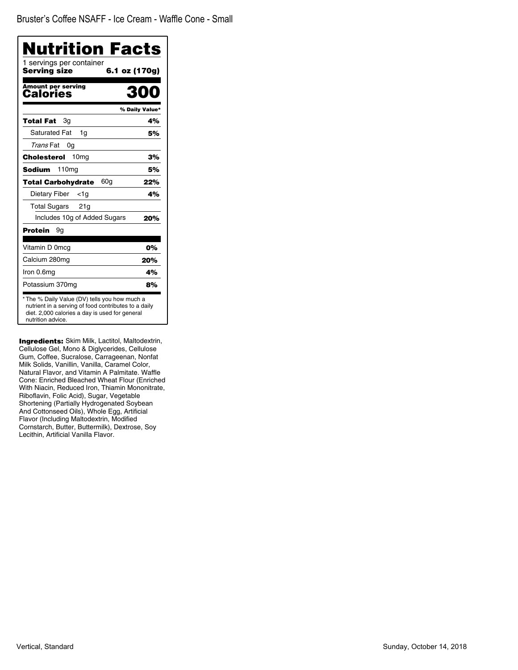| Nutrition Facts<br>1 servings per container |                |
|---------------------------------------------|----------------|
| Serving size                                | 6.1 oz (170g)  |
| <b>Amount per serving</b><br>Calories       | RNA            |
|                                             | % Daily Value* |
| 3g<br>Total Fat                             | 4%             |
| <b>Saturated Fat</b><br>1g                  | 5%             |
| Trans Fat<br>0g                             |                |
| 10 <sub>mg</sub><br>Cholesterol             | 3%             |
| 110mg<br>Sodium                             | 5%             |
| 60g<br><b>Total Carbohydrate</b>            | 22%            |
| Dietary Fiber<br><1a                        | 4%             |
| <b>Total Sugars</b><br>21g                  |                |
| Includes 10g of Added Sugars                | 20%            |
| Protein<br>9g                               |                |
| Vitamin D 0mcg                              | 0%             |
| Calcium 280mg                               | 20%            |
| Iron 0.6mg                                  | 4%             |
| Potassium 370mg                             | 8%             |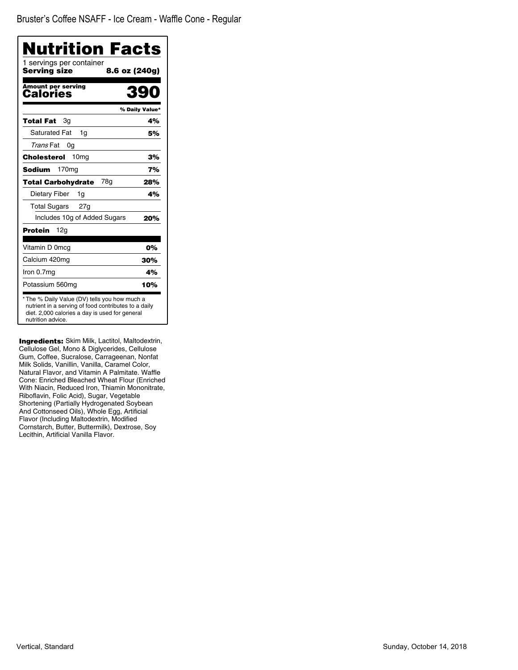| Nutrition Facts                          |                |
|------------------------------------------|----------------|
| 1 servings per container<br>Serving size | 8.6 oz (240g)  |
| Amount per serving<br>Calories           | 39             |
|                                          | % Daily Value* |
| Total Fat<br>Зg                          | 4%             |
| <b>Saturated Fat</b><br>1g               | 5%             |
| Trans Fat<br>0g                          |                |
| 10 <sub>mg</sub><br>Cholesterol          | 3%             |
| 170 <sub>mg</sub><br>Sodium              | 7%             |
| 78a<br><b>Total Carbohydrate</b>         | 28%            |
| Dietary Fiber<br>1g                      | 4%             |
| <b>Total Sugars</b><br>27g               |                |
| Includes 10g of Added Sugars             | 20%            |
| Protein<br>12g                           |                |
| Vitamin D 0mcg                           | 0%             |
| Calcium 420mg                            | 30%            |
| Iron 0.7mg                               | 4%             |
| Potassium 560mg                          | 10%            |